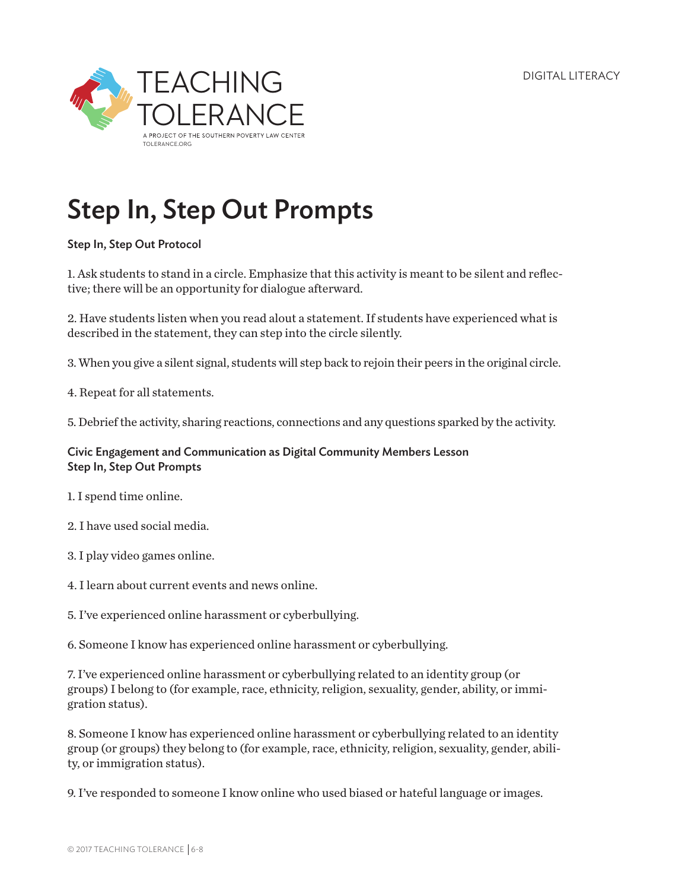DIGITAL LITERACY



## Step In, Step Out Prompts

Step In, Step Out Protocol

1. Ask students to stand in a circle. Emphasize that this activity is meant to be silent and reflective; there will be an opportunity for dialogue afterward.

2. Have students listen when you read alout a statement. If students have experienced what is described in the statement, they can step into the circle silently.

3. When you give a silent signal, students will step back to rejoin their peers in the original circle.

4. Repeat for all statements.

5. Debrief the activity, sharing reactions, connections and any questions sparked by the activity.

Civic Engagement and Communication as Digital Community Members Lesson Step In, Step Out Prompts

- 1. I spend time online.
- 2. I have used social media.
- 3. I play video games online.
- 4. I learn about current events and news online.
- 5. I've experienced online harassment or cyberbullying.

6. Someone I know has experienced online harassment or cyberbullying.

7. I've experienced online harassment or cyberbullying related to an identity group (or groups) I belong to (for example, race, ethnicity, religion, sexuality, gender, ability, or immigration status).

8. Someone I know has experienced online harassment or cyberbullying related to an identity group (or groups) they belong to (for example, race, ethnicity, religion, sexuality, gender, ability, or immigration status).

9. I've responded to someone I know online who used biased or hateful language or images.